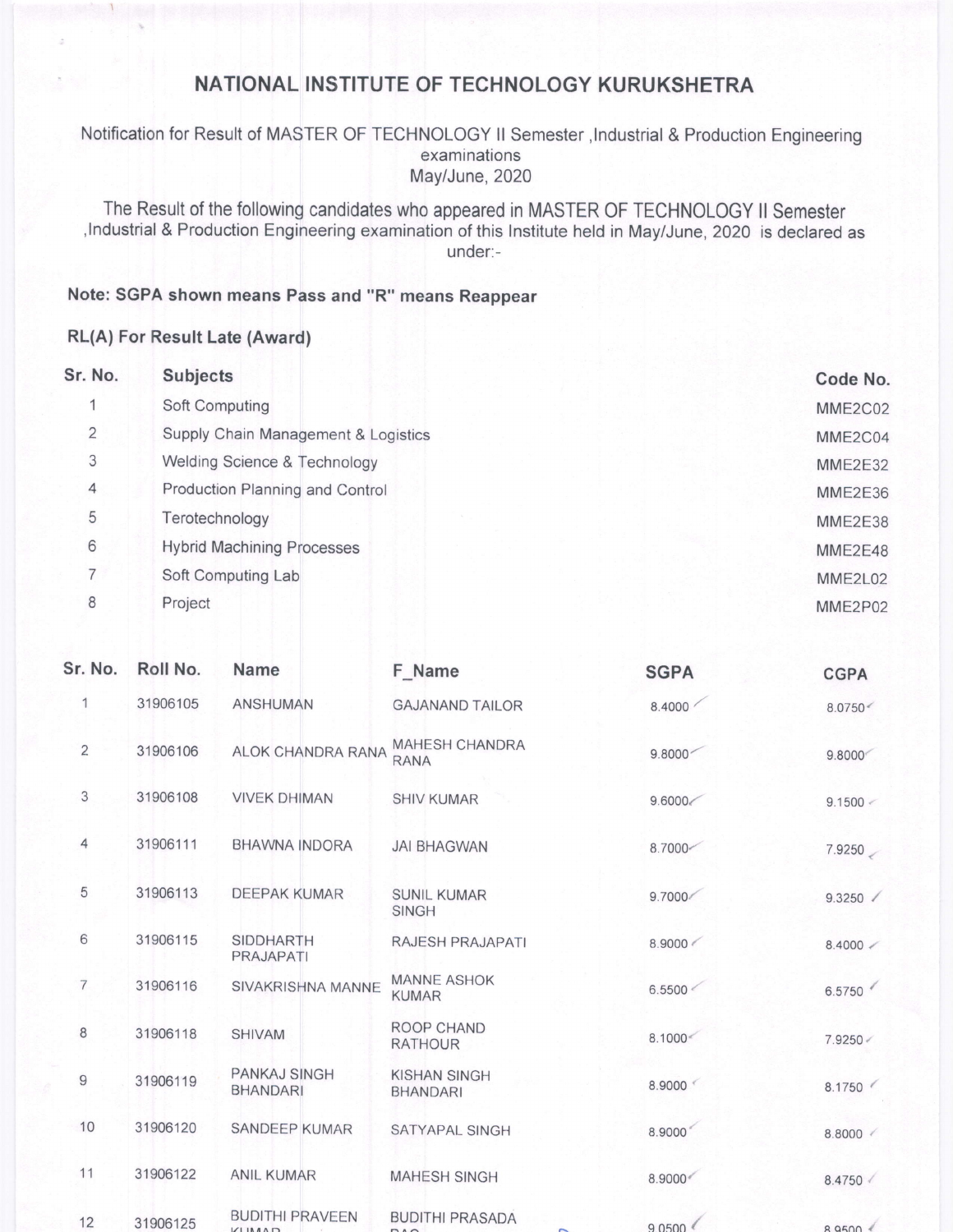## NATIONAL INSTITUTE OF TECHNOLOGY KURUKSHETRA

Notification for Result of MASTER OF TECHNOLOGY ll Semester ,lndustrial & Production Engineering examinations May/June, 2020

The Result of the following candidates who appeared in MASTER OF TECHNOLOGY il Semester ,lndustrial & Production Engineering examination of this lnstitute held in May/June,2O2O is declared as under:-

## Note: SGPA shown means Pass and "R" means Reappear

## RL(A) For Result Late (Award)

| Sr. No.        | <b>Subjects</b>                     | Code No.       |
|----------------|-------------------------------------|----------------|
|                | Soft Computing                      | MME2C02        |
| $\overline{2}$ | Supply Chain Management & Logistics | MME2C04        |
| 3              | Welding Science & Technology        | <b>MME2E32</b> |
| 4              | Production Planning and Control     | <b>MME2E36</b> |
| 5              | Terotechnology                      | MME2E38        |
| 6              | <b>Hybrid Machining Processes</b>   | MME2E48        |
| $\overline{7}$ | Soft Computing Lab                  | MME2L02        |
| 8              | Project                             | MME2P02        |
|                |                                     |                |

| Sr. No.        | Roll No. | <b>Name</b>                             | F_Name                                 | <b>SGPA</b> | <b>CGPA</b>       |
|----------------|----------|-----------------------------------------|----------------------------------------|-------------|-------------------|
| 1              | 31906105 | <b>ANSHUMAN</b>                         | <b>GAJANAND TAILOR</b>                 | 8.4000      | 8.0750<           |
| $\overline{2}$ | 31906106 | ALOK CHANDRA RANA                       | <b>MAHESH CHANDRA</b><br><b>RANA</b>   | 9.8000      | 9.8000            |
| 3              | 31906108 | <b>VIVEK DHIMAN</b>                     | <b>SHIV KUMAR</b>                      | 9.6000      | 9.1500 <          |
| 4              | 31906111 | <b>BHAWNA INDORA</b>                    | <b>JAI BHAGWAN</b>                     | 8.7000      | 7.9250            |
| 5              | 31906113 | <b>DEEPAK KUMAR</b>                     | <b>SUNIL KUMAR</b><br><b>SINGH</b>     | 9.7000      | 9.3250            |
| 6              | 31906115 | <b>SIDDHARTH</b><br>PRAJAPATI           | RAJESH PRAJAPATI                       | 8.9000      | $8.4000 \swarrow$ |
| $\overline{7}$ | 31906116 | SIVAKRISHNA MANNE                       | <b>MANNE ASHOK</b><br><b>KUMAR</b>     | 6.5500 <    | 6.5750            |
| 8              | 31906118 | <b>SHIVAM</b>                           | ROOP CHAND<br><b>RATHOUR</b>           | 8.1000<     | 7.9250 <          |
| $9$            | 31906119 | PANKAJ SINGH<br><b>BHANDARI</b>         | <b>KISHAN SINGH</b><br><b>BHANDARI</b> | 8.9000      | 8.1750            |
| 10             | 31906120 | <b>SANDEEP KUMAR</b>                    | SATYAPAL SINGH                         | 8.9000      | 8.8000            |
| 11             | 31906122 | <b>ANIL KUMAR</b>                       | <b>MAHESH SINGH</b>                    | 8.9000      | 8.4750            |
| 12             | 31906125 | <b>BUDITHI PRAVEEN</b><br><b>VIIMAD</b> | <b>BUDITHI PRASADA</b><br>DA           | 9.0500      | 89500             |